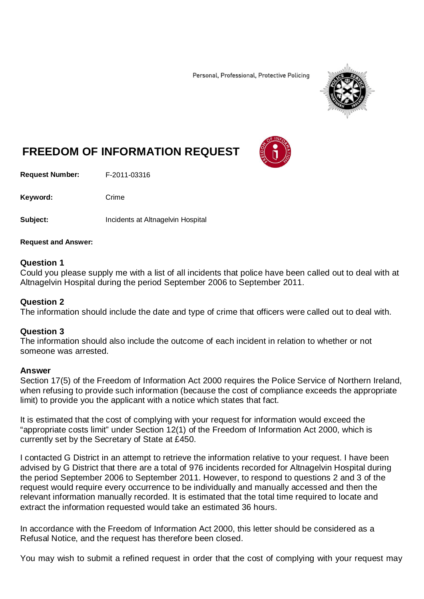Personal, Professional, Protective Policing



# **FREEDOM OF INFORMATION REQUEST**

**Request Number:** F-2011-03316

Keyword: Crime

**Subject: Incidents at Altnagelvin Hospital** 

### **Request and Answer:**

## **Question 1**

Could you please supply me with a list of all incidents that police have been called out to deal with at Altnagelvin Hospital during the period September 2006 to September 2011.

## **Question 2**

The information should include the date and type of crime that officers were called out to deal with.

# **Question 3**

The information should also include the outcome of each incident in relation to whether or not someone was arrested.

### **Answer**

Section 17(5) of the Freedom of Information Act 2000 requires the Police Service of Northern Ireland, when refusing to provide such information (because the cost of compliance exceeds the appropriate limit) to provide you the applicant with a notice which states that fact.

It is estimated that the cost of complying with your request for information would exceed the "appropriate costs limit" under Section 12(1) of the Freedom of Information Act 2000, which is currently set by the Secretary of State at £450.

I contacted G District in an attempt to retrieve the information relative to your request. I have been advised by G District that there are a total of 976 incidents recorded for Altnagelvin Hospital during the period September 2006 to September 2011. However, to respond to questions 2 and 3 of the request would require every occurrence to be individually and manually accessed and then the relevant information manually recorded. It is estimated that the total time required to locate and extract the information requested would take an estimated 36 hours.

In accordance with the Freedom of Information Act 2000, this letter should be considered as a Refusal Notice, and the request has therefore been closed.

You may wish to submit a refined request in order that the cost of complying with your request may